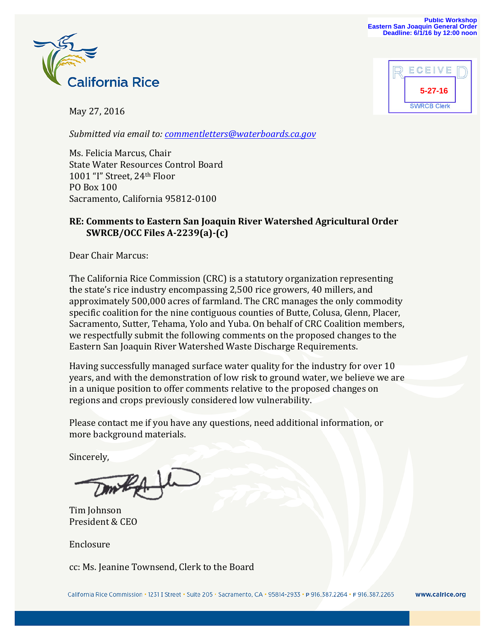

May 27, 2016

*Submitted via email to: commentletters@waterboards.ca.gov*

Ms. Felicia Marcus, Chair **State Water Resources Control Board** 1001 "I" Street, 24<sup>th</sup> Floor PO Box 100 Sacramento, California 95812-0100

### **RE: Comments to Eastern San Joaquin River Watershed Agricultural Order SWRCB/OCC Files A-2239(a)-(c)**

Dear Chair Marcus:

The California Rice Commission (CRC) is a statutory organization representing the state's rice industry encompassing 2,500 rice growers, 40 millers, and approximately 500,000 acres of farmland. The CRC manages the only commodity specific coalition for the nine contiguous counties of Butte, Colusa, Glenn, Placer, Sacramento, Sutter, Tehama, Yolo and Yuba. On behalf of CRC Coalition members, we respectfully submit the following comments on the proposed changes to the Eastern San Joaquin River Watershed Waste Discharge Requirements.

Having successfully managed surface water quality for the industry for over 10 years, and with the demonstration of low risk to ground water, we believe we are in a unique position to offer comments relative to the proposed changes on regions and crops previously considered low vulnerability.

Please contact me if you have any questions, need additional information, or more background materials.

Sincerely,

Tim Johnson President & CEO

Enclosure

cc: Ms. Jeanine Townsend, Clerk to the Board



www.calrice.org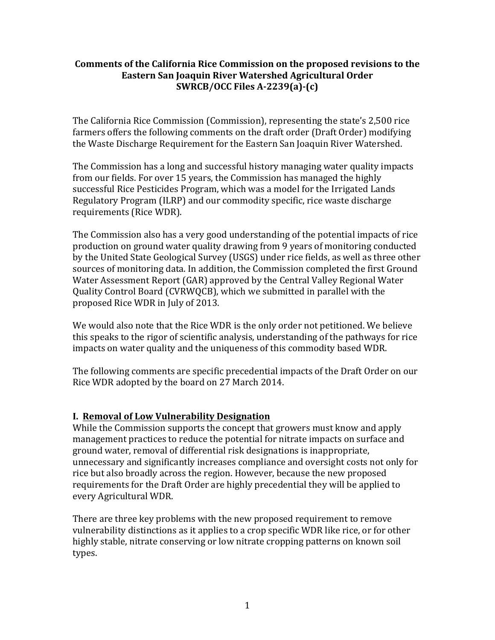#### **Comments of the California Rice Commission on the proposed revisions to the Eastern San Joaquin River Watershed Agricultural Order SWRCB/OCC Files A-2239(a)-(c)**

The California Rice Commission (Commission), representing the state's 2,500 rice farmers offers the following comments on the draft order (Draft Order) modifying the Waste Discharge Requirement for the Eastern San Joaquin River Watershed.

The Commission has a long and successful history managing water quality impacts from our fields. For over 15 years, the Commission has managed the highly successful Rice Pesticides Program, which was a model for the Irrigated Lands Regulatory Program (ILRP) and our commodity specific, rice waste discharge requirements (Rice WDR).

The Commission also has a very good understanding of the potential impacts of rice production on ground water quality drawing from 9 years of monitoring conducted by the United State Geological Survey (USGS) under rice fields, as well as three other sources of monitoring data. In addition, the Commission completed the first Ground Water Assessment Report (GAR) approved by the Central Valley Regional Water Quality Control Board (CVRWQCB), which we submitted in parallel with the proposed Rice WDR in July of 2013.

We would also note that the Rice WDR is the only order not petitioned. We believe this speaks to the rigor of scientific analysis, understanding of the pathways for rice impacts on water quality and the uniqueness of this commodity based WDR.

The following comments are specific precedential impacts of the Draft Order on our Rice WDR adopted by the board on 27 March 2014.

# **I. Removal of Low Vulnerability Designation**

While the Commission supports the concept that growers must know and apply management practices to reduce the potential for nitrate impacts on surface and ground water, removal of differential risk designations is inappropriate, unnecessary and significantly increases compliance and oversight costs not only for rice but also broadly across the region. However, because the new proposed requirements for the Draft Order are highly precedential they will be applied to every Agricultural WDR. 

There are three key problems with the new proposed requirement to remove vulnerability distinctions as it applies to a crop specific WDR like rice, or for other highly stable, nitrate conserving or low nitrate cropping patterns on known soil types.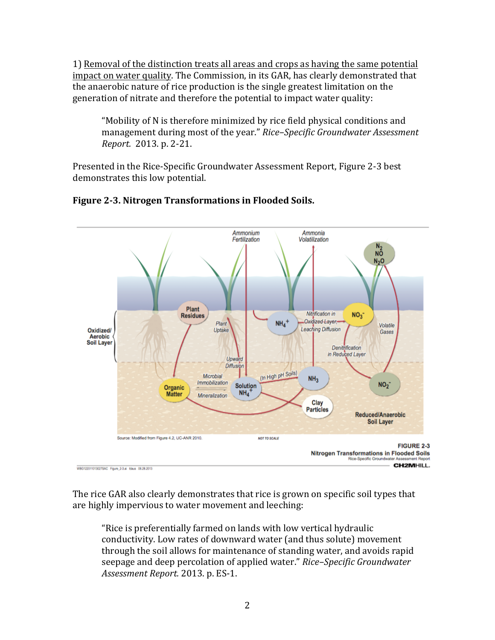1) Removal of the distinction treats all areas and crops as having the same potential impact on water quality. The Commission, in its GAR, has clearly demonstrated that the anaerobic nature of rice production is the single greatest limitation on the generation of nitrate and therefore the potential to impact water quality:

"Mobility of N is therefore minimized by rice field physical conditions and management during most of the year." Rice-Specific Groundwater Assessment *Report.*  2013. p. 2-21. 

Presented in the Rice-Specific Groundwater Assessment Report, Figure 2-3 best demonstrates this low potential.



# **Figure 2-3. Nitrogen Transformations in Flooded Soils.**

The rice GAR also clearly demonstrates that rice is grown on specific soil types that are highly impervious to water movement and leeching:

"Rice is preferentially farmed on lands with low vertical hydraulic conductivity. Low rates of downward water (and thus solute) movement through the soil allows for maintenance of standing water, and avoids rapid seepage and deep percolation of applied water." *Rice–Specific Groundwater Assessment Report.* 2013. p. ES-1.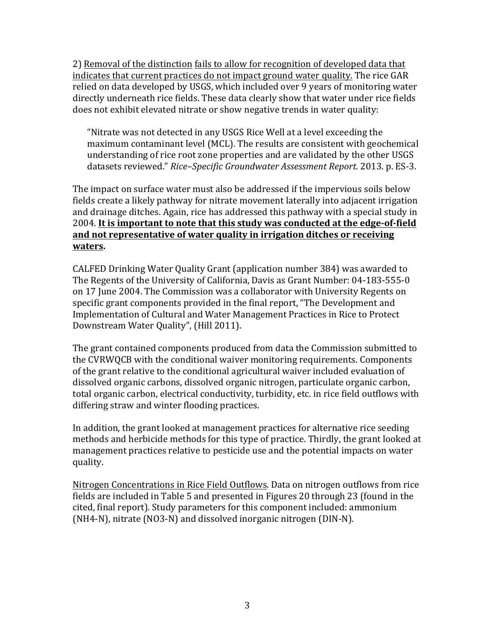2) Removal of the distinction fails to allow for recognition of developed data that indicates that current practices do not impact ground water quality. The rice GAR relied on data developed by USGS, which included over 9 years of monitoring water directly underneath rice fields. These data clearly show that water under rice fields does not exhibit elevated nitrate or show negative trends in water quality:

"Nitrate was not detected in any USGS Rice Well at a level exceeding the maximum contaminant level (MCL). The results are consistent with geochemical understanding of rice root zone properties and are validated by the other USGS datasets reviewed." Rice-Specific Groundwater Assessment Report. 2013. p. ES-3.

The impact on surface water must also be addressed if the impervious soils below fields create a likely pathway for nitrate movement laterally into adjacent irrigation and drainage ditches. Again, rice has addressed this pathway with a special study in 2004. It is important to note that this study was conducted at the edge-of-field and not representative of water quality in irrigation ditches or receiving **waters.** 

CALFED Drinking Water Quality Grant (application number 384) was awarded to The Regents of the University of California, Davis as Grant Number: 04-183-555-0 on 17 June 2004. The Commission was a collaborator with University Regents on specific grant components provided in the final report, "The Development and Implementation of Cultural and Water Management Practices in Rice to Protect Downstream Water Quality", (Hill 2011).

The grant contained components produced from data the Commission submitted to the CVRWQCB with the conditional waiver monitoring requirements. Components of the grant relative to the conditional agricultural waiver included evaluation of dissolved organic carbons, dissolved organic nitrogen, particulate organic carbon, total organic carbon, electrical conductivity, turbidity, etc. in rice field outflows with differing straw and winter flooding practices.

In addition, the grant looked at management practices for alternative rice seeding methods and herbicide methods for this type of practice. Thirdly, the grant looked at management practices relative to pesticide use and the potential impacts on water quality. 

Nitrogen Concentrations in Rice Field Outflows. Data on nitrogen outflows from rice fields are included in Table 5 and presented in Figures 20 through 23 (found in the cited, final report). Study parameters for this component included: ammonium  $(NH4-N)$ , nitrate  $(NO3-N)$  and dissolved inorganic nitrogen  $(DIN-N)$ .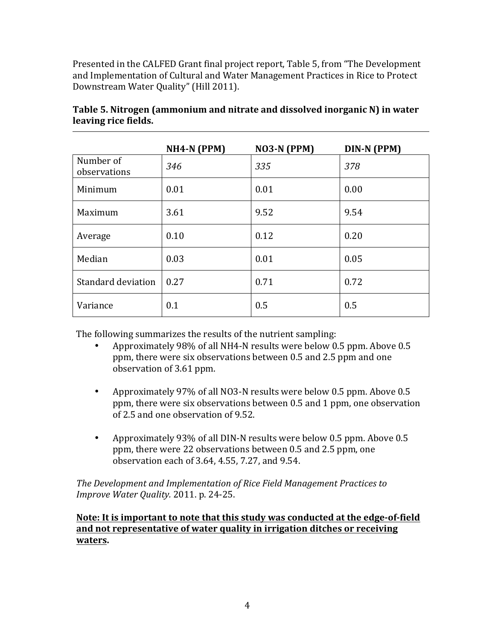Presented in the CALFED Grant final project report, Table 5, from "The Development" and Implementation of Cultural and Water Management Practices in Rice to Protect Downstream Water Quality" (Hill 2011).

|                           | $NH4-N$ (PPM) | $NO3-N$ (PPM) | <b>DIN-N (PPM)</b> |
|---------------------------|---------------|---------------|--------------------|
| Number of<br>observations | 346           | 335           | 378                |
| Minimum                   | 0.01          | 0.01          | 0.00               |
| Maximum                   | 3.61          | 9.52          | 9.54               |
| Average                   | 0.10          | 0.12          | 0.20               |
| Median                    | 0.03          | 0.01          | 0.05               |
| Standard deviation        | 0.27          | 0.71          | 0.72               |
| Variance                  | 0.1           | 0.5           | 0.5                |

**Table 5. Nitrogen (ammonium and nitrate and dissolved inorganic N) in water leaving rice fields.** 

The following summarizes the results of the nutrient sampling:

- Approximately 98% of all NH4-N results were below 0.5 ppm. Above 0.5 ppm, there were six observations between 0.5 and 2.5 ppm and one observation of 3.61 ppm.
- Approximately 97% of all NO3-N results were below 0.5 ppm. Above 0.5 ppm, there were six observations between 0.5 and 1 ppm, one observation of 2.5 and one observation of 9.52.
- Approximately 93% of all DIN-N results were below 0.5 ppm. Above 0.5 ppm, there were 22 observations between 0.5 and 2.5 ppm, one observation each of 3.64, 4.55, 7.27, and  $9.54$ .

The Development and Implementation of Rice Field Management Practices to *Improve Water Quality.* 2011. p. 24-25.

# **Note:** It is important to note that this study was conducted at the edge-of-field and not representative of water quality in irrigation ditches or receiving **waters.**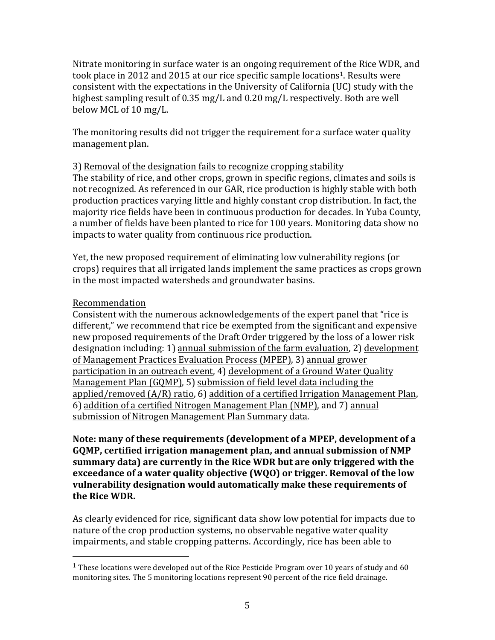Nitrate monitoring in surface water is an ongoing requirement of the Rice WDR, and took place in 2012 and 2015 at our rice specific sample locations<sup>1</sup>. Results were consistent with the expectations in the University of California (UC) study with the highest sampling result of  $0.35$  mg/L and  $0.20$  mg/L respectively. Both are well below MCL of 10 mg/L.

The monitoring results did not trigger the requirement for a surface water quality management plan.

#### 3) Removal of the designation fails to recognize cropping stability

The stability of rice, and other crops, grown in specific regions, climates and soils is not recognized. As referenced in our GAR, rice production is highly stable with both production practices varying little and highly constant crop distribution. In fact, the majority rice fields have been in continuous production for decades. In Yuba County, a number of fields have been planted to rice for 100 years. Monitoring data show no impacts to water quality from continuous rice production.

Yet, the new proposed requirement of eliminating low vulnerability regions (or crops) requires that all irrigated lands implement the same practices as crops grown in the most impacted watersheds and groundwater basins.

### Recommendation

 

Consistent with the numerous acknowledgements of the expert panel that "rice is different," we recommend that rice be exempted from the significant and expensive new proposed requirements of the Draft Order triggered by the loss of a lower risk designation including: 1) annual submission of the farm evaluation, 2) development of Management Practices Evaluation Process (MPEP), 3) annual grower participation in an outreach event, 4) development of a Ground Water Quality Management Plan (GQMP), 5) submission of field level data including the applied/removed  $(A/R)$  ratio, 6) addition of a certified Irrigation Management Plan, 6) addition of a certified Nitrogen Management Plan (NMP), and 7) annual submission of Nitrogen Management Plan Summary data.

Note: many of these requirements (development of a MPEP, development of a GQMP, certified irrigation management plan, and annual submission of NMP summary data) are currently in the Rice WDR but are only triggered with the **exceedance of a water quality objective (WQO)** or trigger. Removal of the low **vulnerability designation would automatically make these requirements of**  the Rice WDR.

As clearly evidenced for rice, significant data show low potential for impacts due to nature of the crop production systems, no observable negative water quality impairments, and stable cropping patterns. Accordingly, rice has been able to

<sup>&</sup>lt;sup>1</sup> These locations were developed out of the Rice Pesticide Program over 10 years of study and 60 monitoring sites. The 5 monitoring locations represent 90 percent of the rice field drainage.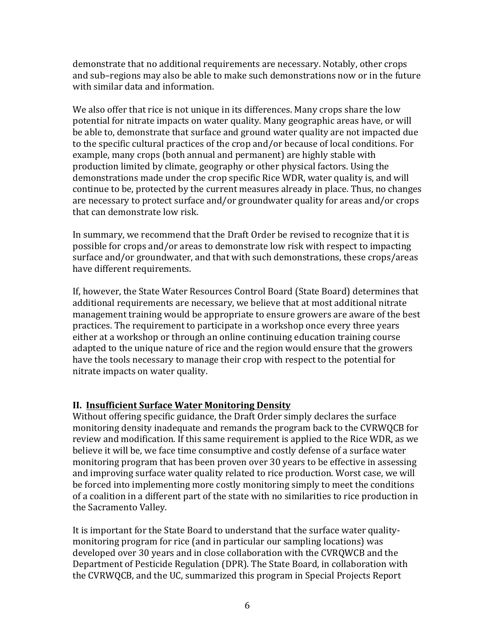demonstrate that no additional requirements are necessary. Notably, other crops and sub-regions may also be able to make such demonstrations now or in the future with similar data and information.

We also offer that rice is not unique in its differences. Many crops share the low potential for nitrate impacts on water quality. Many geographic areas have, or will be able to, demonstrate that surface and ground water quality are not impacted due to the specific cultural practices of the crop and/or because of local conditions. For example, many crops (both annual and permanent) are highly stable with production limited by climate, geography or other physical factors. Using the demonstrations made under the crop specific Rice WDR, water quality is, and will continue to be, protected by the current measures already in place. Thus, no changes are necessary to protect surface and/or groundwater quality for areas and/or crops that can demonstrate low risk.

In summary, we recommend that the Draft Order be revised to recognize that it is possible for crops and/or areas to demonstrate low risk with respect to impacting surface and/or groundwater, and that with such demonstrations, these crops/areas have different requirements.

If, however, the State Water Resources Control Board (State Board) determines that additional requirements are necessary, we believe that at most additional nitrate management training would be appropriate to ensure growers are aware of the best practices. The requirement to participate in a workshop once every three years either at a workshop or through an online continuing education training course adapted to the unique nature of rice and the region would ensure that the growers have the tools necessary to manage their crop with respect to the potential for nitrate impacts on water quality.

# **II. Insufficient Surface Water Monitoring Density**

Without offering specific guidance, the Draft Order simply declares the surface monitoring density inadequate and remands the program back to the CVRWQCB for review and modification. If this same requirement is applied to the Rice WDR, as we believe it will be, we face time consumptive and costly defense of a surface water monitoring program that has been proven over 30 years to be effective in assessing and improving surface water quality related to rice production. Worst case, we will be forced into implementing more costly monitoring simply to meet the conditions of a coalition in a different part of the state with no similarities to rice production in the Sacramento Valley.

It is important for the State Board to understand that the surface water qualitymonitoring program for rice (and in particular our sampling locations) was developed over 30 years and in close collaboration with the CVRQWCB and the Department of Pesticide Regulation (DPR). The State Board, in collaboration with the CVRWQCB, and the UC, summarized this program in Special Projects Report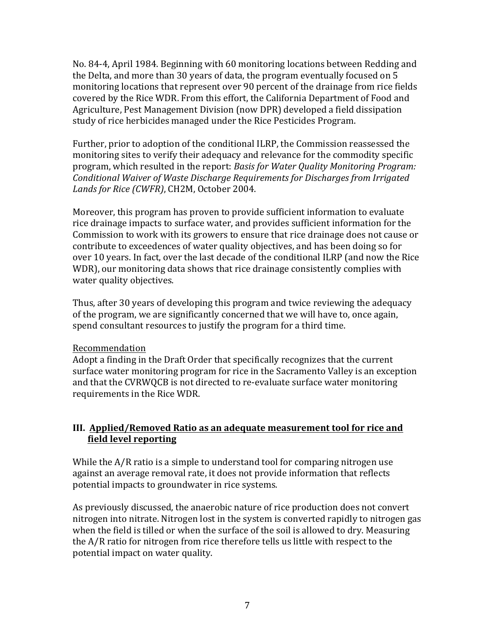No. 84-4, April 1984. Beginning with 60 monitoring locations between Redding and the Delta, and more than 30 years of data, the program eventually focused on 5 monitoring locations that represent over 90 percent of the drainage from rice fields covered by the Rice WDR. From this effort, the California Department of Food and Agriculture, Pest Management Division (now DPR) developed a field dissipation study of rice herbicides managed under the Rice Pesticides Program.

Further, prior to adoption of the conditional ILRP, the Commission reassessed the monitoring sites to verify their adequacy and relevance for the commodity specific program, which resulted in the report: *Basis for Water Quality Monitoring Program: Conditional Waiver of Waste Discharge Requirements for Discharges from Irrigated* Lands for Rice (CWFR), CH2M, October 2004.

Moreover, this program has proven to provide sufficient information to evaluate rice drainage impacts to surface water, and provides sufficient information for the Commission to work with its growers to ensure that rice drainage does not cause or contribute to exceedences of water quality objectives, and has been doing so for over 10 years. In fact, over the last decade of the conditional ILRP (and now the Rice WDR), our monitoring data shows that rice drainage consistently complies with water quality objectives.

Thus, after 30 years of developing this program and twice reviewing the adequacy of the program, we are significantly concerned that we will have to, once again, spend consultant resources to justify the program for a third time.

# Recommendation

Adopt a finding in the Draft Order that specifically recognizes that the current surface water monitoring program for rice in the Sacramento Valley is an exception and that the CVRWQCB is not directed to re-evaluate surface water monitoring requirements in the Rice WDR.

# **III. Applied/Removed Ratio as an adequate measurement tool for rice and field level reporting**

While the  $A/R$  ratio is a simple to understand tool for comparing nitrogen use against an average removal rate, it does not provide information that reflects potential impacts to groundwater in rice systems.

As previously discussed, the anaerobic nature of rice production does not convert nitrogen into nitrate. Nitrogen lost in the system is converted rapidly to nitrogen gas when the field is tilled or when the surface of the soil is allowed to dry. Measuring the  $A/R$  ratio for nitrogen from rice therefore tells us little with respect to the potential impact on water quality.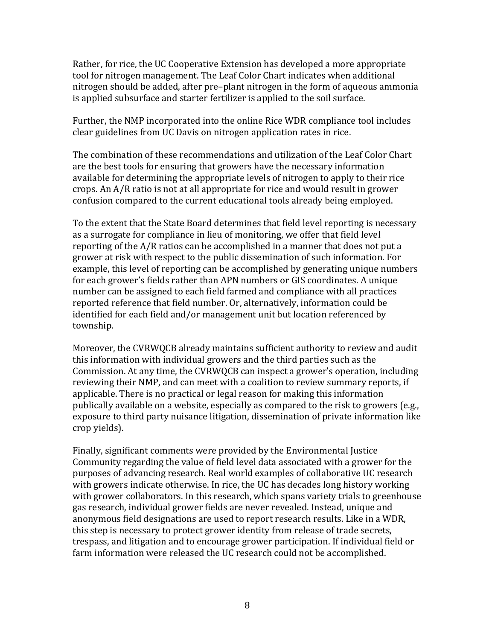Rather, for rice, the UC Cooperative Extension has developed a more appropriate tool for nitrogen management. The Leaf Color Chart indicates when additional nitrogen should be added, after pre–plant nitrogen in the form of aqueous ammonia is applied subsurface and starter fertilizer is applied to the soil surface.

Further, the NMP incorporated into the online Rice WDR compliance tool includes clear guidelines from UC Davis on nitrogen application rates in rice.

The combination of these recommendations and utilization of the Leaf Color Chart are the best tools for ensuring that growers have the necessary information available for determining the appropriate levels of nitrogen to apply to their rice crops. An  $A/R$  ratio is not at all appropriate for rice and would result in grower confusion compared to the current educational tools already being employed.

To the extent that the State Board determines that field level reporting is necessary as a surrogate for compliance in lieu of monitoring, we offer that field level reporting of the  $A/R$  ratios can be accomplished in a manner that does not put a grower at risk with respect to the public dissemination of such information. For example, this level of reporting can be accomplished by generating unique numbers for each grower's fields rather than APN numbers or GIS coordinates. A unique number can be assigned to each field farmed and compliance with all practices reported reference that field number. Or, alternatively, information could be identified for each field and/or management unit but location referenced by township. 

Moreover, the CVRWQCB already maintains sufficient authority to review and audit this information with individual growers and the third parties such as the Commission. At any time, the CVRWQCB can inspect a grower's operation, including reviewing their NMP, and can meet with a coalition to review summary reports, if applicable. There is no practical or legal reason for making this information publically available on a website, especially as compared to the risk to growers (e.g., exposure to third party nuisance litigation, dissemination of private information like crop vields).

Finally, significant comments were provided by the Environmental Justice Community regarding the value of field level data associated with a grower for the purposes of advancing research. Real world examples of collaborative UC research with growers indicate otherwise. In rice, the UC has decades long history working with grower collaborators. In this research, which spans variety trials to greenhouse gas research, individual grower fields are never revealed. Instead, unique and anonymous field designations are used to report research results. Like in a WDR, this step is necessary to protect grower identity from release of trade secrets, trespass, and litigation and to encourage grower participation. If individual field or farm information were released the UC research could not be accomplished.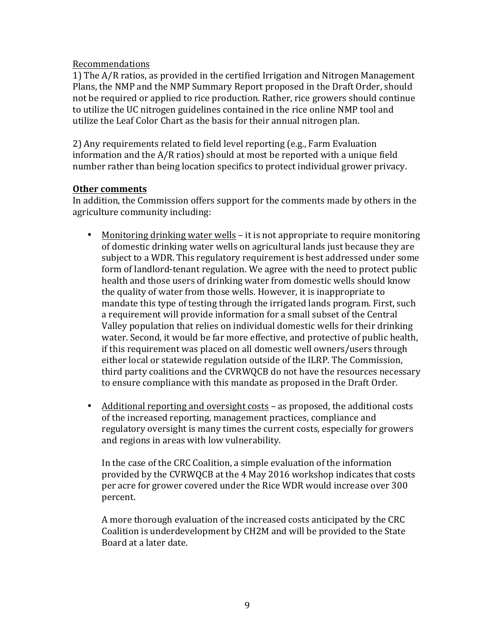#### Recommendations

1) The A/R ratios, as provided in the certified Irrigation and Nitrogen Management Plans, the NMP and the NMP Summary Report proposed in the Draft Order, should not be required or applied to rice production. Rather, rice growers should continue to utilize the UC nitrogen guidelines contained in the rice online NMP tool and utilize the Leaf Color Chart as the basis for their annual nitrogen plan.

2) Any requirements related to field level reporting  $(e.g., Farm Evaluation$ information and the  $A/R$  ratios) should at most be reported with a unique field number rather than being location specifics to protect individual grower privacy.

#### **Other comments**

In addition, the Commission offers support for the comments made by others in the agriculture community including:

- Monitoring drinking water wells it is not appropriate to require monitoring of domestic drinking water wells on agricultural lands just because they are subject to a WDR. This regulatory requirement is best addressed under some form of landlord-tenant regulation. We agree with the need to protect public health and those users of drinking water from domestic wells should know the quality of water from those wells. However, it is inappropriate to mandate this type of testing through the irrigated lands program. First, such a requirement will provide information for a small subset of the Central Valley population that relies on individual domestic wells for their drinking water. Second, it would be far more effective, and protective of public health, if this requirement was placed on all domestic well owners/users through either local or statewide regulation outside of the ILRP. The Commission, third party coalitions and the CVRWQCB do not have the resources necessary to ensure compliance with this mandate as proposed in the Draft Order.
- Additional reporting and oversight costs as proposed, the additional costs of the increased reporting, management practices, compliance and regulatory oversight is many times the current costs, especially for growers and regions in areas with low vulnerability.

In the case of the CRC Coalition, a simple evaluation of the information provided by the CVRWQCB at the 4 May 2016 workshop indicates that costs per acre for grower covered under the Rice WDR would increase over 300 percent.

A more thorough evaluation of the increased costs anticipated by the CRC Coalition is underdevelopment by CH2M and will be provided to the State Board at a later date.